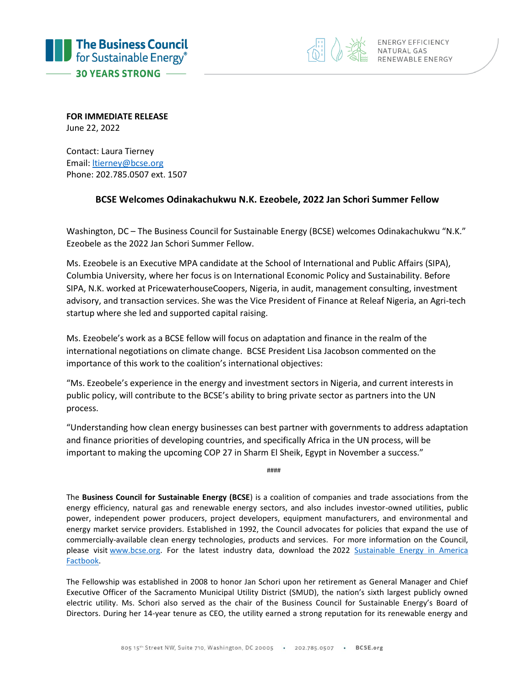



**FOR IMMEDIATE RELEASE**  June 22, 2022

Contact: Laura Tierney Email[: ltierney@bcse.org](mailto:ltierney@bcse.org) Phone: 202.785.0507 ext. 1507

## **BCSE Welcomes Odinakachukwu N.K. Ezeobele, 2022 Jan Schori Summer Fellow**

Washington, DC – The Business Council for Sustainable Energy (BCSE) welcomes Odinakachukwu "N.K." Ezeobele as the 2022 Jan Schori Summer Fellow.

Ms. Ezeobele is an Executive MPA candidate at the School of International and Public Affairs (SIPA), Columbia University, where her focus is on International Economic Policy and Sustainability. Before SIPA, N.K. worked at PricewaterhouseCoopers, Nigeria, in audit, management consulting, investment advisory, and transaction services. She was the Vice President of Finance at Releaf Nigeria, an Agri-tech startup where she led and supported capital raising.

Ms. Ezeobele's work as a BCSE fellow will focus on adaptation and finance in the realm of the international negotiations on climate change. BCSE President Lisa Jacobson commented on the importance of this work to the coalition's international objectives:

"Ms. Ezeobele's experience in the energy and investment sectors in Nigeria, and current interests in public policy, will contribute to the BCSE's ability to bring private sector as partners into the UN process.

"Understanding how clean energy businesses can best partner with governments to address adaptation and finance priorities of developing countries, and specifically Africa in the UN process, will be important to making the upcoming COP 27 in Sharm El Sheik, Egypt in November a success."

####

The **Business Council for Sustainable Energy (BCSE**) is a coalition of companies and trade associations from the energy efficiency, natural gas and renewable energy sectors, and also includes investor-owned utilities, public power, independent power producers, project developers, equipment manufacturers, and environmental and energy market service providers. Established in 1992, the Council advocates for policies that expand the use of commercially-available clean energy technologies, products and services. For more information on the Council, please visit [www.bcse.org.](http://www.bcse.org/) For the latest industry data, download the 2022 Sustainable Energy in America [Factbook.](https://bcse.org/factbook)

The Fellowship was established in 2008 to honor Jan Schori upon her retirement as General Manager and Chief Executive Officer of the Sacramento Municipal Utility District (SMUD), the nation's sixth largest publicly owned electric utility. Ms. Schori also served as the chair of the Business Council for Sustainable Energy's Board of Directors. During her 14-year tenure as CEO, the utility earned a strong reputation for its renewable energy and